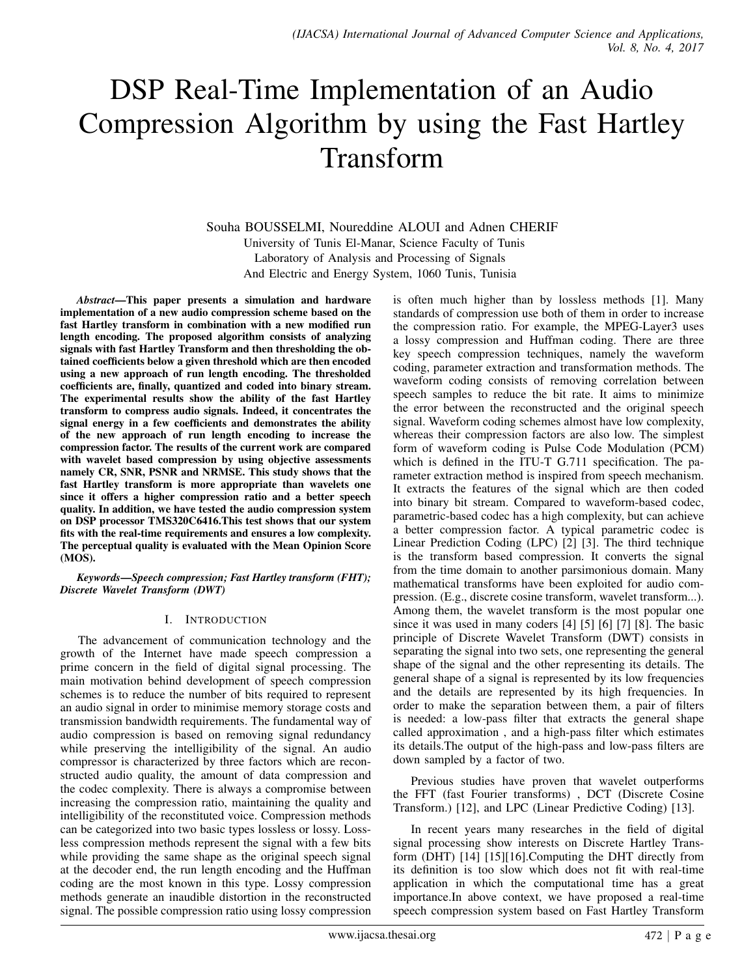# DSP Real-Time Implementation of an Audio Compression Algorithm by using the Fast Hartley Transform

Souha BOUSSELMI, Noureddine ALOUI and Adnen CHERIF University of Tunis El-Manar, Science Faculty of Tunis Laboratory of Analysis and Processing of Signals And Electric and Energy System, 1060 Tunis, Tunisia

*Abstract*—This paper presents a simulation and hardware implementation of a new audio compression scheme based on the fast Hartley transform in combination with a new modified run length encoding. The proposed algorithm consists of analyzing signals with fast Hartley Transform and then thresholding the obtained coefficients below a given threshold which are then encoded using a new approach of run length encoding. The thresholded coefficients are, finally, quantized and coded into binary stream. The experimental results show the ability of the fast Hartley transform to compress audio signals. Indeed, it concentrates the signal energy in a few coefficients and demonstrates the ability of the new approach of run length encoding to increase the compression factor. The results of the current work are compared with wavelet based compression by using objective assessments namely CR, SNR, PSNR and NRMSE. This study shows that the fast Hartley transform is more appropriate than wavelets one since it offers a higher compression ratio and a better speech quality. In addition, we have tested the audio compression system on DSP processor TMS320C6416.This test shows that our system fits with the real-time requirements and ensures a low complexity. The perceptual quality is evaluated with the Mean Opinion Score (MOS).

*Keywords*—*Speech compression; Fast Hartley transform (FHT); Discrete Wavelet Transform (DWT)*

#### I. INTRODUCTION

The advancement of communication technology and the growth of the Internet have made speech compression a prime concern in the field of digital signal processing. The main motivation behind development of speech compression schemes is to reduce the number of bits required to represent an audio signal in order to minimise memory storage costs and transmission bandwidth requirements. The fundamental way of audio compression is based on removing signal redundancy while preserving the intelligibility of the signal. An audio compressor is characterized by three factors which are reconstructed audio quality, the amount of data compression and the codec complexity. There is always a compromise between increasing the compression ratio, maintaining the quality and intelligibility of the reconstituted voice. Compression methods can be categorized into two basic types lossless or lossy. Lossless compression methods represent the signal with a few bits while providing the same shape as the original speech signal at the decoder end, the run length encoding and the Huffman coding are the most known in this type. Lossy compression methods generate an inaudible distortion in the reconstructed signal. The possible compression ratio using lossy compression is often much higher than by lossless methods [1]. Many standards of compression use both of them in order to increase the compression ratio. For example, the MPEG-Layer3 uses a lossy compression and Huffman coding. There are three key speech compression techniques, namely the waveform coding, parameter extraction and transformation methods. The waveform coding consists of removing correlation between speech samples to reduce the bit rate. It aims to minimize the error between the reconstructed and the original speech signal. Waveform coding schemes almost have low complexity, whereas their compression factors are also low. The simplest form of waveform coding is Pulse Code Modulation (PCM) which is defined in the ITU-T G.711 specification. The parameter extraction method is inspired from speech mechanism. It extracts the features of the signal which are then coded into binary bit stream. Compared to waveform-based codec, parametric-based codec has a high complexity, but can achieve a better compression factor. A typical parametric codec is Linear Prediction Coding (LPC) [2] [3]. The third technique is the transform based compression. It converts the signal from the time domain to another parsimonious domain. Many mathematical transforms have been exploited for audio compression. (E.g., discrete cosine transform, wavelet transform...). Among them, the wavelet transform is the most popular one since it was used in many coders [4] [5] [6] [7] [8]. The basic principle of Discrete Wavelet Transform (DWT) consists in separating the signal into two sets, one representing the general shape of the signal and the other representing its details. The general shape of a signal is represented by its low frequencies and the details are represented by its high frequencies. In order to make the separation between them, a pair of filters is needed: a low-pass filter that extracts the general shape called approximation , and a high-pass filter which estimates its details.The output of the high-pass and low-pass filters are down sampled by a factor of two.

Previous studies have proven that wavelet outperforms the FFT (fast Fourier transforms) , DCT (Discrete Cosine Transform.) [12], and LPC (Linear Predictive Coding) [13].

In recent years many researches in the field of digital signal processing show interests on Discrete Hartley Transform (DHT) [14] [15][16].Computing the DHT directly from its definition is too slow which does not fit with real-time application in which the computational time has a great importance.In above context, we have proposed a real-time speech compression system based on Fast Hartley Transform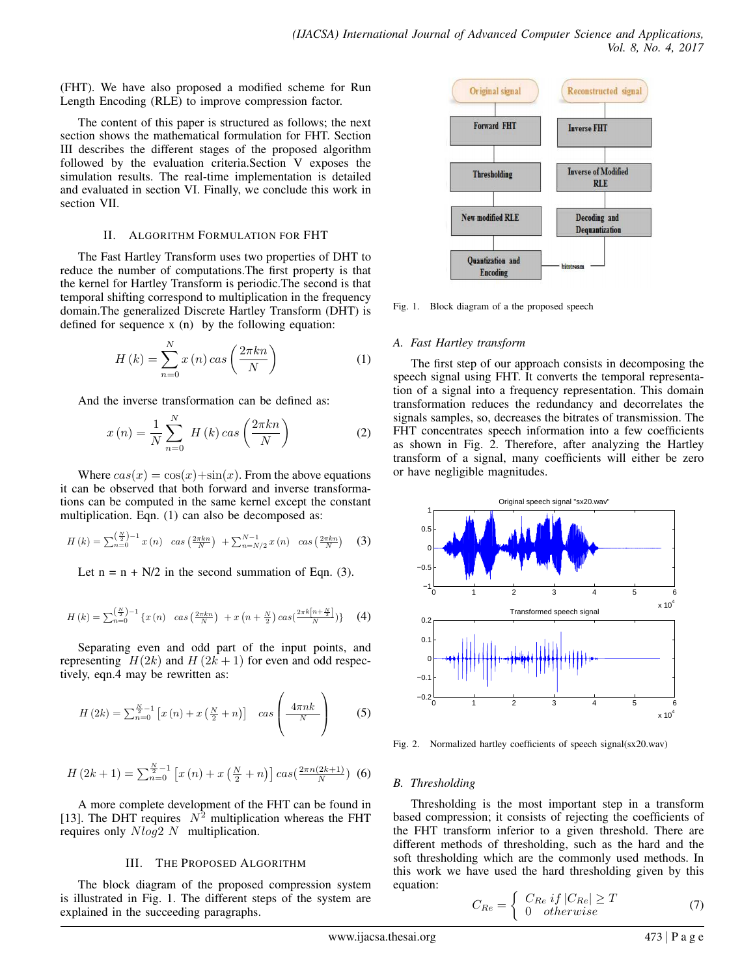(FHT). We have also proposed a modified scheme for Run Length Encoding (RLE) to improve compression factor.

The content of this paper is structured as follows; the next section shows the mathematical formulation for FHT. Section III describes the different stages of the proposed algorithm followed by the evaluation criteria.Section V exposes the simulation results. The real-time implementation is detailed and evaluated in section VI. Finally, we conclude this work in section VII.

#### II. ALGORITHM FORMULATION FOR FHT

The Fast Hartley Transform uses two properties of DHT to reduce the number of computations.The first property is that the kernel for Hartley Transform is periodic.The second is that temporal shifting correspond to multiplication in the frequency domain.The generalized Discrete Hartley Transform (DHT) is defined for sequence x (n) by the following equation:

$$
H(k) = \sum_{n=0}^{N} x(n) \cos\left(\frac{2\pi kn}{N}\right)
$$
 (1)

And the inverse transformation can be defined as:

$$
x(n) = \frac{1}{N} \sum_{n=0}^{N} H(k) \cos\left(\frac{2\pi kn}{N}\right)
$$
 (2)

Where  $cas(x) = cos(x) + sin(x)$ . From the above equations it can be observed that both forward and inverse transformations can be computed in the same kernel except the constant multiplication. Eqn. (1) can also be decomposed as:

$$
H(k) = \sum_{n=0}^{\left(\frac{N}{2}\right)-1} x(n) \quad \cos\left(\frac{2\pi k n}{N}\right) + \sum_{n=N/2}^{N-1} x(n) \quad \cos\left(\frac{2\pi k n}{N}\right) \quad (3)
$$

Let  $n = n + N/2$  in the second summation of Eqn. (3).

$$
H(k) = \sum_{n=0}^{\left(\frac{N}{2}\right)-1} \{x(n) \quad \cos\left(\frac{2\pi kn}{N}\right) + x\left(n+\frac{N}{2}\right)\cos\left(\frac{2\pi k\left[n+\frac{N}{2}\right]}{N}\right)\} \tag{4}
$$

Separating even and odd part of the input points, and representing  $H(2k)$  and  $H(2k+1)$  for even and odd respectively, eqn.4 may be rewritten as:

$$
H\left(2k\right) = \sum_{n=0}^{\frac{N}{2}-1} \left[ x\left(n\right) + x\left(\frac{N}{2} + n\right) \right] \quad \text{cas} \left( \frac{4\pi nk}{N} \right) \tag{5}
$$

$$
H(2k+1) = \sum_{n=0}^{\frac{N}{2}-1} \left[ x(n) + x\left(\frac{N}{2} + n\right) \right] \cos\left(\frac{2\pi n (2k+1)}{N}\right) (6)
$$

A more complete development of the FHT can be found in [13]. The DHT requires  $N^2$  multiplication whereas the FHT requires only Nlog2 N multiplication.

#### III. THE PROPOSED ALGORITHM

The block diagram of the proposed compression system is illustrated in Fig. 1. The different steps of the system are explained in the succeeding paragraphs.



Fig. 1. Block diagram of a the proposed speech

# *A. Fast Hartley transform*

The first step of our approach consists in decomposing the speech signal using FHT. It converts the temporal representation of a signal into a frequency representation. This domain transformation reduces the redundancy and decorrelates the signals samples, so, decreases the bitrates of transmission. The FHT concentrates speech information into a few coefficients as shown in Fig. 2. Therefore, after analyzing the Hartley transform of a signal, many coefficients will either be zero or have negligible magnitudes.



Fig. 2. Normalized hartley coefficients of speech signal(sx20.wav)

# *B. Thresholding*

Thresholding is the most important step in a transform based compression; it consists of rejecting the coefficients of the FHT transform inferior to a given threshold. There are different methods of thresholding, such as the hard and the soft thresholding which are the commonly used methods. In this work we have used the hard thresholding given by this equation:

$$
C_{Re} = \begin{cases} C_{Re} & if \left| C_{Re} \right| \ge T \\ 0 & otherwise \end{cases}
$$
 (7)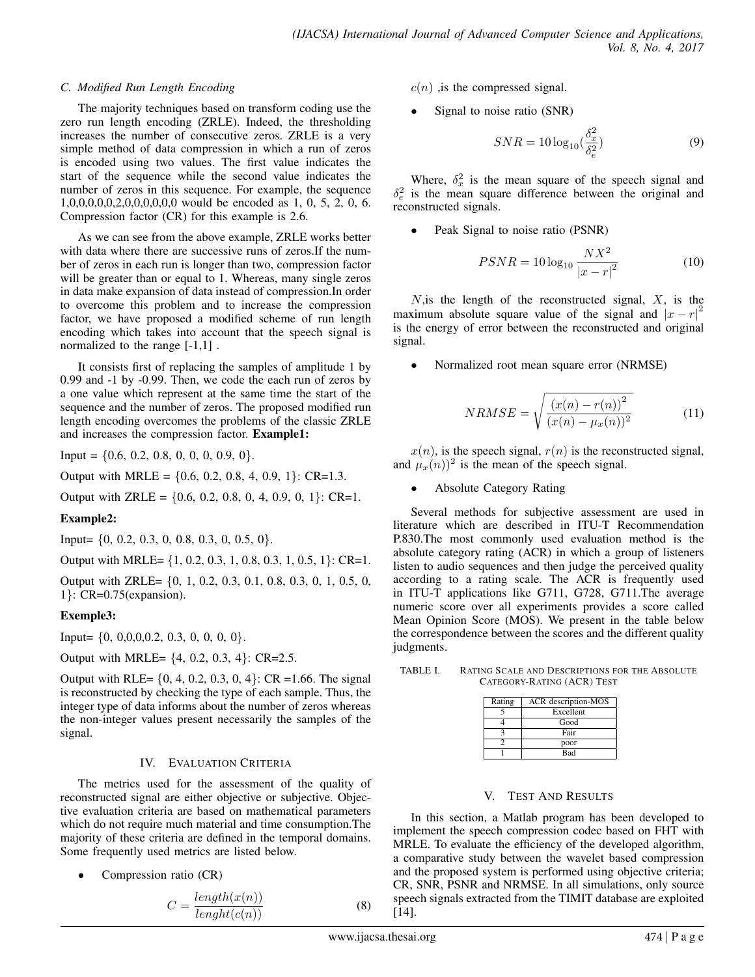#### *C. Modified Run Length Encoding*

The majority techniques based on transform coding use the zero run length encoding (ZRLE). Indeed, the thresholding increases the number of consecutive zeros. ZRLE is a very simple method of data compression in which a run of zeros is encoded using two values. The first value indicates the start of the sequence while the second value indicates the number of zeros in this sequence. For example, the sequence 1,0,0,0,0,0,2,0,0,0,0,0,0 would be encoded as 1, 0, 5, 2, 0, 6. Compression factor (CR) for this example is 2.6.

As we can see from the above example, ZRLE works better with data where there are successive runs of zeros.If the number of zeros in each run is longer than two, compression factor will be greater than or equal to 1. Whereas, many single zeros in data make expansion of data instead of compression.In order to overcome this problem and to increase the compression factor, we have proposed a modified scheme of run length encoding which takes into account that the speech signal is normalized to the range [-1,1] .

It consists first of replacing the samples of amplitude 1 by 0.99 and -1 by -0.99. Then, we code the each run of zeros by a one value which represent at the same time the start of the sequence and the number of zeros. The proposed modified run length encoding overcomes the problems of the classic ZRLE and increases the compression factor. Example1:

Input =  $\{0.6, 0.2, 0.8, 0, 0, 0, 0.9, 0\}.$ 

Output with MRLE =  $\{0.6, 0.2, 0.8, 4, 0.9, 1\}$ : CR=1.3.

Output with ZRLE =  $\{0.6, 0.2, 0.8, 0, 4, 0.9, 0, 1\}$ : CR=1.

#### Example2:

Input=  $\{0, 0.2, 0.3, 0, 0.8, 0.3, 0, 0.5, 0\}.$ 

Output with MRLE= {1, 0.2, 0.3, 1, 0.8, 0.3, 1, 0.5, 1}: CR=1.

Output with ZRLE= {0, 1, 0.2, 0.3, 0.1, 0.8, 0.3, 0, 1, 0.5, 0, 1}: CR=0.75(expansion).

#### Exemple3:

Input=  $\{0, 0, 0, 0, 0.2, 0.3, 0, 0, 0, 0\}$ .

Output with MRLE= {4, 0.2, 0.3, 4}: CR=2.5.

Output with RLE=  $\{0, 4, 0.2, 0.3, 0, 4\}$ : CR =1.66. The signal is reconstructed by checking the type of each sample. Thus, the integer type of data informs about the number of zeros whereas the non-integer values present necessarily the samples of the signal.

#### IV. EVALUATION CRITERIA

The metrics used for the assessment of the quality of reconstructed signal are either objective or subjective. Objective evaluation criteria are based on mathematical parameters which do not require much material and time consumption.The majority of these criteria are defined in the temporal domains. Some frequently used metrics are listed below.

Compression ratio (CR)

$$
C = \frac{length(x(n))}{length(c(n))}
$$
 (8)

 $c(n)$ , is the compressed signal.

Signal to noise ratio (SNR)

$$
SNR = 10\log_{10}\left(\frac{\delta_x^2}{\delta_e^2}\right) \tag{9}
$$

Where,  $\delta_x^2$  is the mean square of the speech signal and  $\delta_e^2$  is the mean square difference between the original and reconstructed signals.

Peak Signal to noise ratio (PSNR)

$$
PSNR = 10\log_{10}\frac{NX^2}{|x - r|^2}
$$
 (10)

 $N$ , is the length of the reconstructed signal,  $X$ , is the maximum absolute square value of the signal and  $|x - r|^2$ is the energy of error between the reconstructed and original signal.

• Normalized root mean square error (NRMSE)

$$
NRMSE = \sqrt{\frac{(x(n) - r(n))^2}{(x(n) - \mu_x(n))^2}}
$$
(11)

 $x(n)$ , is the speech signal,  $r(n)$  is the reconstructed signal, and  $\mu_x(n)$ <sup>2</sup> is the mean of the speech signal.

• Absolute Category Rating

Several methods for subjective assessment are used in literature which are described in ITU-T Recommendation P.830.The most commonly used evaluation method is the absolute category rating (ACR) in which a group of listeners listen to audio sequences and then judge the perceived quality according to a rating scale. The ACR is frequently used in ITU-T applications like G711, G728, G711.The average numeric score over all experiments provides a score called Mean Opinion Score (MOS). We present in the table below the correspondence between the scores and the different quality judgments.

| TABLE I. | RATING SCALE AND DESCRIPTIONS FOR THE ABSOLUTE |
|----------|------------------------------------------------|
|          | CATEGORY-RATING (ACR) TEST                     |

| Rating | ACR description-MOS |
|--------|---------------------|
|        | Excellent           |
|        | Good                |
|        | Fair                |
|        | poor                |
|        | Bad                 |

#### V. TEST AND RESULTS

In this section, a Matlab program has been developed to implement the speech compression codec based on FHT with MRLE. To evaluate the efficiency of the developed algorithm, a comparative study between the wavelet based compression and the proposed system is performed using objective criteria; CR, SNR, PSNR and NRMSE. In all simulations, only source speech signals extracted from the TIMIT database are exploited [14].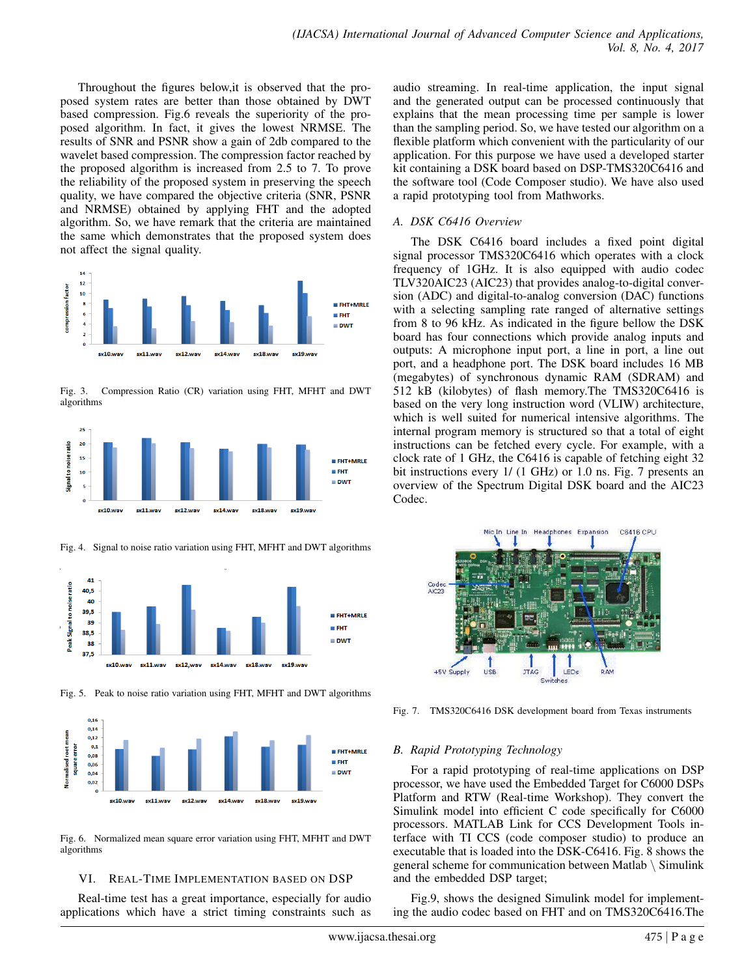Throughout the figures below,it is observed that the proposed system rates are better than those obtained by DWT based compression. Fig.6 reveals the superiority of the proposed algorithm. In fact, it gives the lowest NRMSE. The results of SNR and PSNR show a gain of 2db compared to the wavelet based compression. The compression factor reached by the proposed algorithm is increased from 2.5 to 7. To prove the reliability of the proposed system in preserving the speech quality, we have compared the objective criteria (SNR, PSNR and NRMSE) obtained by applying FHT and the adopted algorithm. So, we have remark that the criteria are maintained the same which demonstrates that the proposed system does not affect the signal quality.



Fig. 3. Compression Ratio (CR) variation using FHT, MFHT and DWT algorithms



Fig. 4. Signal to noise ratio variation using FHT, MFHT and DWT algorithms



Fig. 5. Peak to noise ratio variation using FHT, MFHT and DWT algorithms



Fig. 6. Normalized mean square error variation using FHT, MFHT and DWT algorithms

# VI. REAL-TIME IMPLEMENTATION BASED ON DSP

Real-time test has a great importance, especially for audio applications which have a strict timing constraints such as audio streaming. In real-time application, the input signal and the generated output can be processed continuously that explains that the mean processing time per sample is lower than the sampling period. So, we have tested our algorithm on a flexible platform which convenient with the particularity of our application. For this purpose we have used a developed starter kit containing a DSK board based on DSP-TMS320C6416 and the software tool (Code Composer studio). We have also used a rapid prototyping tool from Mathworks.

# *A. DSK C6416 Overview*

The DSK C6416 board includes a fixed point digital signal processor TMS320C6416 which operates with a clock frequency of 1GHz. It is also equipped with audio codec TLV320AIC23 (AIC23) that provides analog-to-digital conversion (ADC) and digital-to-analog conversion (DAC) functions with a selecting sampling rate ranged of alternative settings from 8 to 96 kHz. As indicated in the figure bellow the DSK board has four connections which provide analog inputs and outputs: A microphone input port, a line in port, a line out port, and a headphone port. The DSK board includes 16 MB (megabytes) of synchronous dynamic RAM (SDRAM) and 512 kB (kilobytes) of flash memory.The TMS320C6416 is based on the very long instruction word (VLIW) architecture, which is well suited for numerical intensive algorithms. The internal program memory is structured so that a total of eight instructions can be fetched every cycle. For example, with a clock rate of 1 GHz, the C6416 is capable of fetching eight 32 bit instructions every  $1/$  (1 GHz) or 1.0 ns. Fig. 7 presents an overview of the Spectrum Digital DSK board and the AIC23 Codec.



Fig. 7. TMS320C6416 DSK development board from Texas instruments

#### *B. Rapid Prototyping Technology*

For a rapid prototyping of real-time applications on DSP processor, we have used the Embedded Target for C6000 DSPs Platform and RTW (Real-time Workshop). They convert the Simulink model into efficient C code specifically for C6000 processors. MATLAB Link for CCS Development Tools interface with TI CCS (code composer studio) to produce an executable that is loaded into the DSK-C6416. Fig. 8 shows the general scheme for communication between Matlab \ Simulink and the embedded DSP target;

Fig.9, shows the designed Simulink model for implementing the audio codec based on FHT and on TMS320C6416.The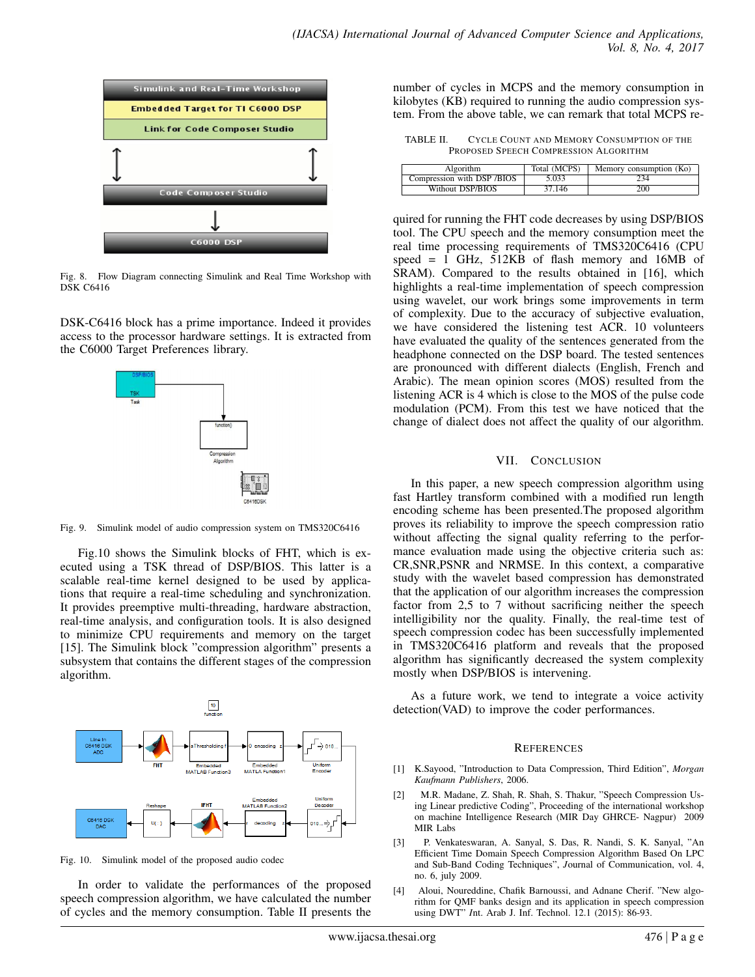

Fig. 8. Flow Diagram connecting Simulink and Real Time Workshop with DSK C6416

DSK-C6416 block has a prime importance. Indeed it provides access to the processor hardware settings. It is extracted from the C6000 Target Preferences library.



Fig. 9. Simulink model of audio compression system on TMS320C6416

Fig.10 shows the Simulink blocks of FHT, which is executed using a TSK thread of DSP/BIOS. This latter is a scalable real-time kernel designed to be used by applications that require a real-time scheduling and synchronization. It provides preemptive multi-threading, hardware abstraction, real-time analysis, and configuration tools. It is also designed to minimize CPU requirements and memory on the target [15]. The Simulink block "compression algorithm" presents a subsystem that contains the different stages of the compression algorithm.



Fig. 10. Simulink model of the proposed audio codec

In order to validate the performances of the proposed speech compression algorithm, we have calculated the number of cycles and the memory consumption. Table II presents the number of cycles in MCPS and the memory consumption in kilobytes (KB) required to running the audio compression system. From the above table, we can remark that total MCPS re-

TABLE II. CYCLE COUNT AND MEMORY CONSUMPTION OF THE PROPOSED SPEECH COMPRESSION ALGORITHM

| Algorithm                  | Total (MCPS) | Memory consumption (Ko) |
|----------------------------|--------------|-------------------------|
| Compression with DSP /BIOS | 5.033        | 234                     |
| Without DSP/BIOS           | 37.146       | 200                     |

quired for running the FHT code decreases by using DSP/BIOS tool. The CPU speech and the memory consumption meet the real time processing requirements of TMS320C6416 (CPU speed  $= 1$  GHz, 512KB of flash memory and 16MB of SRAM). Compared to the results obtained in [16], which highlights a real-time implementation of speech compression using wavelet, our work brings some improvements in term of complexity. Due to the accuracy of subjective evaluation, we have considered the listening test ACR. 10 volunteers have evaluated the quality of the sentences generated from the headphone connected on the DSP board. The tested sentences are pronounced with different dialects (English, French and Arabic). The mean opinion scores (MOS) resulted from the listening ACR is 4 which is close to the MOS of the pulse code modulation (PCM). From this test we have noticed that the change of dialect does not affect the quality of our algorithm.

### VII. CONCLUSION

In this paper, a new speech compression algorithm using fast Hartley transform combined with a modified run length encoding scheme has been presented.The proposed algorithm proves its reliability to improve the speech compression ratio without affecting the signal quality referring to the performance evaluation made using the objective criteria such as: CR,SNR,PSNR and NRMSE. In this context, a comparative study with the wavelet based compression has demonstrated that the application of our algorithm increases the compression factor from 2,5 to 7 without sacrificing neither the speech intelligibility nor the quality. Finally, the real-time test of speech compression codec has been successfully implemented in TMS320C6416 platform and reveals that the proposed algorithm has significantly decreased the system complexity mostly when DSP/BIOS is intervening.

As a future work, we tend to integrate a voice activity detection(VAD) to improve the coder performances.

# **REFERENCES**

- [1] K.Sayood, "Introduction to Data Compression, Third Edition", *Morgan Kaufmann Publishers*, 2006.
- [2] M.R. Madane, Z. Shah, R. Shah, S. Thakur, "Speech Compression Using Linear predictive Coding", Proceeding of the international workshop on machine Intelligence Research (MIR Day GHRCE- Nagpur) 2009 MIR Labs
- [3] P. Venkateswaran, A. Sanyal, S. Das, R. Nandi, S. K. Sanyal, "An Efficient Time Domain Speech Compression Algorithm Based On LPC and Sub-Band Coding Techniques", *J*ournal of Communication, vol. 4, no. 6, july 2009.
- [4] Aloui, Noureddine, Chafik Barnoussi, and Adnane Cherif. "New algorithm for QMF banks design and its application in speech compression using DWT" *I*nt. Arab J. Inf. Technol. 12.1 (2015): 86-93.